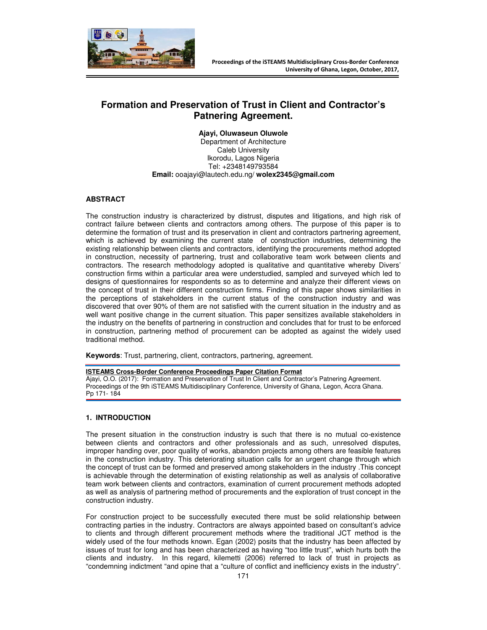

# **Formation and Preservation of Trust in Client and Contractor's Patnering Agreement.**

**Ajayi, Oluwaseun Oluwole** 

Department of Architecture Caleb University Ikorodu, Lagos Nigeria Tel: +2348149793584 **Email:** ooajayi@lautech.edu.ng/ **wolex2345@gmail.com** 

# **ABSTRACT**

The construction industry is characterized by distrust, disputes and litigations, and high risk of contract failure between clients and contractors among others. The purpose of this paper is to determine the formation of trust and its preservation in client and contractors partnering agreement, which is achieved by examining the current state of construction industries, determining the existing relationship between clients and contractors, identifying the procurements method adopted in construction, necessity of partnering, trust and collaborative team work between clients and contractors. The research methodology adopted is qualitative and quantitative whereby Divers' construction firms within a particular area were understudied, sampled and surveyed which led to designs of questionnaires for respondents so as to determine and analyze their different views on the concept of trust in their different construction firms. Finding of this paper shows similarities in the perceptions of stakeholders in the current status of the construction industry and was discovered that over 90% of them are not satisfied with the current situation in the industry and as well want positive change in the current situation. This paper sensitizes available stakeholders in the industry on the benefits of partnering in construction and concludes that for trust to be enforced in construction, partnering method of procurement can be adopted as against the widely used traditional method.

**Keywords**: Trust, partnering, client, contractors, partnering, agreement.

#### **ISTEAMS Cross-Border Conference Proceedings Paper Citation Format**

Ajayi, O.O. (2017): Formation and Preservation of Trust In Client and Contractor's Patnering Agreement. Proceedings of the 9th iSTEAMS Multidisciplinary Conference, University of Ghana, Legon, Accra Ghana. Pp 171- 184

### **1. INTRODUCTION**

The present situation in the construction industry is such that there is no mutual co-existence between clients and contractors and other professionals and as such, unresolved disputes, improper handing over, poor quality of works, abandon projects among others are feasible features in the construction industry. This deteriorating situation calls for an urgent change through which the concept of trust can be formed and preserved among stakeholders in the industry .This concept is achievable through the determination of existing relationship as well as analysis of collaborative team work between clients and contractors, examination of current procurement methods adopted as well as analysis of partnering method of procurements and the exploration of trust concept in the construction industry.

For construction project to be successfully executed there must be solid relationship between contracting parties in the industry. Contractors are always appointed based on consultant's advice to clients and through different procurement methods where the traditional JCT method is the widely used of the four methods known. Egan (2002) posits that the industry has been affected by issues of trust for long and has been characterized as having "too little trust", which hurts both the clients and industry. In this regard, kilemetti (2006) referred to lack of trust in projects as "condemning indictment "and opine that a "culture of conflict and inefficiency exists in the industry".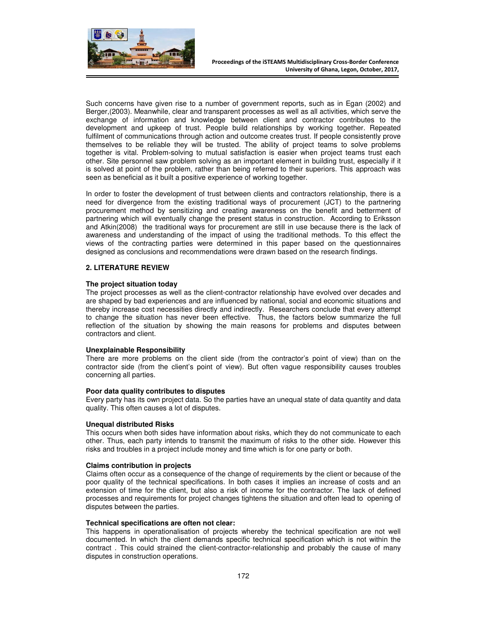

Such concerns have given rise to a number of government reports, such as in Egan (2002) and Berger,(2003). Meanwhile, clear and transparent processes as well as all activities, which serve the exchange of information and knowledge between client and contractor contributes to the development and upkeep of trust. People build relationships by working together. Repeated fulfilment of communications through action and outcome creates trust. If people consistently prove themselves to be reliable they will be trusted. The ability of project teams to solve problems together is vital. Problem-solving to mutual satisfaction is easier when project teams trust each other. Site personnel saw problem solving as an important element in building trust, especially if it is solved at point of the problem, rather than being referred to their superiors. This approach was seen as beneficial as it built a positive experience of working together.

In order to foster the development of trust between clients and contractors relationship, there is a need for divergence from the existing traditional ways of procurement (JCT) to the partnering procurement method by sensitizing and creating awareness on the benefit and betterment of partnering which will eventually change the present status in construction. According to Eriksson and Atkin(2008) the traditional ways for procurement are still in use because there is the lack of awareness and understanding of the impact of using the traditional methods. To this effect the views of the contracting parties were determined in this paper based on the questionnaires designed as conclusions and recommendations were drawn based on the research findings.

### **2. LITERATURE REVIEW**

### **The project situation today**

The project processes as well as the client-contractor relationship have evolved over decades and are shaped by bad experiences and are influenced by national, social and economic situations and thereby increase cost necessities directly and indirectly. Researchers conclude that every attempt to change the situation has never been effective. Thus, the factors below summarize the full reflection of the situation by showing the main reasons for problems and disputes between contractors and client.

### **Unexplainable Responsibility**

There are more problems on the client side (from the contractor's point of view) than on the contractor side (from the client's point of view). But often vague responsibility causes troubles concerning all parties.

#### **Poor data quality contributes to disputes**

Every party has its own project data. So the parties have an unequal state of data quantity and data quality. This often causes a lot of disputes.

#### **Unequal distributed Risks**

This occurs when both sides have information about risks, which they do not communicate to each other. Thus, each party intends to transmit the maximum of risks to the other side. However this risks and troubles in a project include money and time which is for one party or both.

#### **Claims contribution in projects**

Claims often occur as a consequence of the change of requirements by the client or because of the poor quality of the technical specifications. In both cases it implies an increase of costs and an extension of time for the client, but also a risk of income for the contractor. The lack of defined processes and requirements for project changes tightens the situation and often lead to opening of disputes between the parties.

#### **Technical specifications are often not clear:**

This happens in operationalisation of projects whereby the technical specification are not well documented. In which the client demands specific technical specification which is not within the contract . This could strained the client-contractor-relationship and probably the cause of many disputes in construction operations.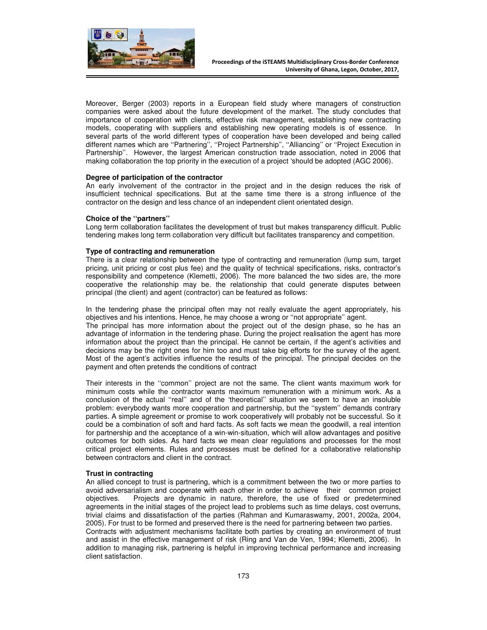

Moreover, Berger (2003) reports in a European field study where managers of construction companies were asked about the future development of the market. The study concludes that importance of cooperation with clients, effective risk management, establishing new contracting models, cooperating with suppliers and establishing new operating models is of essence. In several parts of the world different types of cooperation have been developed and being called different names which are "Partnering", "Project Partnership", "Alliancing" or "Project Execution in Partnership''. However, the largest American construction trade association, noted in 2006 that making collaboration the top priority in the execution of a project 'should be adopted (AGC 2006).

### **Degree of participation of the contractor**

An early involvement of the contractor in the project and in the design reduces the risk of insufficient technical specifications. But at the same time there is a strong influence of the contractor on the design and less chance of an independent client orientated design.

### **Choice of the ''partners''**

Long term collaboration facilitates the development of trust but makes transparency difficult. Public tendering makes long term collaboration very difficult but facilitates transparency and competition.

### **Type of contracting and remuneration**

There is a clear relationship between the type of contracting and remuneration (lump sum, target pricing, unit pricing or cost plus fee) and the quality of technical specifications, risks, contractor's responsibility and competence (Klemetti, 2006). The more balanced the two sides are, the more cooperative the relationship may be. the relationship that could generate disputes between principal (the client) and agent (contractor) can be featured as follows:

In the tendering phase the principal often may not really evaluate the agent appropriately, his objectives and his intentions. Hence, he may choose a wrong or ''not appropriate'' agent.

The principal has more information about the project out of the design phase, so he has an advantage of information in the tendering phase. During the project realisation the agent has more information about the project than the principal. He cannot be certain, if the agent's activities and decisions may be the right ones for him too and must take big efforts for the survey of the agent. Most of the agent's activities influence the results of the principal. The principal decides on the payment and often pretends the conditions of contract

Their interests in the ''common'' project are not the same. The client wants maximum work for minimum costs while the contractor wants maximum remuneration with a minimum work. As a conclusion of the actual ''real'' and of the 'theoretical'' situation we seem to have an insoluble problem: everybody wants more cooperation and partnership, but the ''system'' demands contrary parties. A simple agreement or promise to work cooperatively will probably not be successful. So it could be a combination of soft and hard facts. As soft facts we mean the goodwill, a real intention for partnership and the acceptance of a win-win-situation, which will allow advantages and positive outcomes for both sides. As hard facts we mean clear regulations and processes for the most critical project elements. Rules and processes must be defined for a collaborative relationship between contractors and client in the contract.

### **Trust in contracting**

An allied concept to trust is partnering, which is a commitment between the two or more parties to avoid adversarialism and cooperate with each other in order to achieve their common project objectives. Projects are dynamic in nature, therefore, the use of fixed or predetermined agreements in the initial stages of the project lead to problems such as time delays, cost overruns, trivial claims and dissatisfaction of the parties (Rahman and Kumaraswamy, 2001, 2002a, 2004, 2005). For trust to be formed and preserved there is the need for partnering between two parties. Contracts with adjustment mechanisms facilitate both parties by creating an environment of trust and assist in the effective management of risk (Ring and Van de Ven, 1994; Klemetti, 2006). In addition to managing risk, partnering is helpful in improving technical performance and increasing client satisfaction.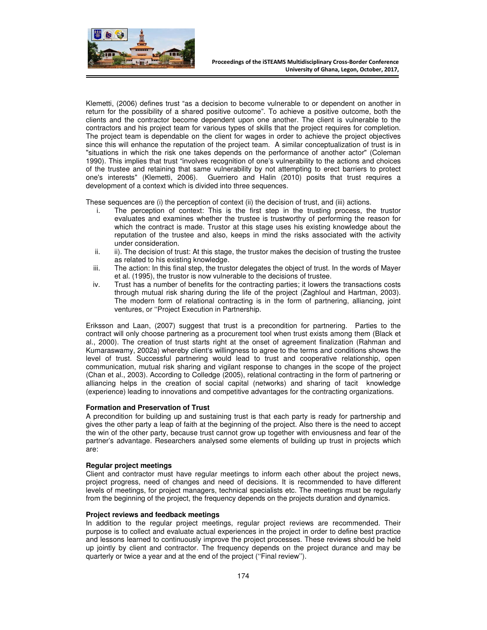

Klemetti, (2006) defines trust "as a decision to become vulnerable to or dependent on another in return for the possibility of a shared positive outcome". To achieve a positive outcome, both the clients and the contractor become dependent upon one another. The client is vulnerable to the contractors and his project team for various types of skills that the project requires for completion. The project team is dependable on the client for wages in order to achieve the project objectives since this will enhance the reputation of the project team. A similar conceptualization of trust is in "situations in which the risk one takes depends on the performance of another actor" (Coleman 1990). This implies that trust "involves recognition of one's vulnerability to the actions and choices of the trustee and retaining that same vulnerability by not attempting to erect barriers to protect one's interests" (Klemetti, 2006). Guerriero and Halin (2010) posits that trust requires a development of a context which is divided into three sequences.

These sequences are (i) the perception of context (ii) the decision of trust, and (iii) actions.

- i. The perception of context: This is the first step in the trusting process, the trustor evaluates and examines whether the trustee is trustworthy of performing the reason for which the contract is made. Trustor at this stage uses his existing knowledge about the reputation of the trustee and also, keeps in mind the risks associated with the activity under consideration.
- ii. ii). The decision of trust: At this stage, the trustor makes the decision of trusting the trustee as related to his existing knowledge.
- iii. The action: In this final step, the trustor delegates the object of trust. In the words of Mayer et al. (1995), the trustor is now vulnerable to the decisions of trustee.
- iv. Trust has a number of benefits for the contracting parties; it lowers the transactions costs through mutual risk sharing during the life of the project (Zaghloul and Hartman, 2003). The modern form of relational contracting is in the form of partnering, alliancing, joint ventures, or ''Project Execution in Partnership.

Eriksson and Laan, (2007) suggest that trust is a precondition for partnering. Parties to the contract will only choose partnering as a procurement tool when trust exists among them (Black et al., 2000). The creation of trust starts right at the onset of agreement finalization (Rahman and Kumaraswamy, 2002a) whereby client's willingness to agree to the terms and conditions shows the level of trust. Successful partnering would lead to trust and cooperative relationship, open communication, mutual risk sharing and vigilant response to changes in the scope of the project (Chan et al., 2003). According to Colledge (2005), relational contracting in the form of partnering or alliancing helps in the creation of social capital (networks) and sharing of tacit knowledge (experience) leading to innovations and competitive advantages for the contracting organizations.

### **Formation and Preservation of Trust**

A precondition for building up and sustaining trust is that each party is ready for partnership and gives the other party a leap of faith at the beginning of the project. Also there is the need to accept the win of the other party, because trust cannot grow up together with enviousness and fear of the partner's advantage. Researchers analysed some elements of building up trust in projects which are:

#### **Regular project meetings**

Client and contractor must have regular meetings to inform each other about the project news, project progress, need of changes and need of decisions. It is recommended to have different levels of meetings, for project managers, technical specialists etc. The meetings must be regularly from the beginning of the project, the frequency depends on the projects duration and dynamics.

#### **Project reviews and feedback meetings**

In addition to the regular project meetings, regular project reviews are recommended. Their purpose is to collect and evaluate actual experiences in the project in order to define best practice and lessons learned to continuously improve the project processes. These reviews should be held up jointly by client and contractor. The frequency depends on the project durance and may be quarterly or twice a year and at the end of the project (''Final review'').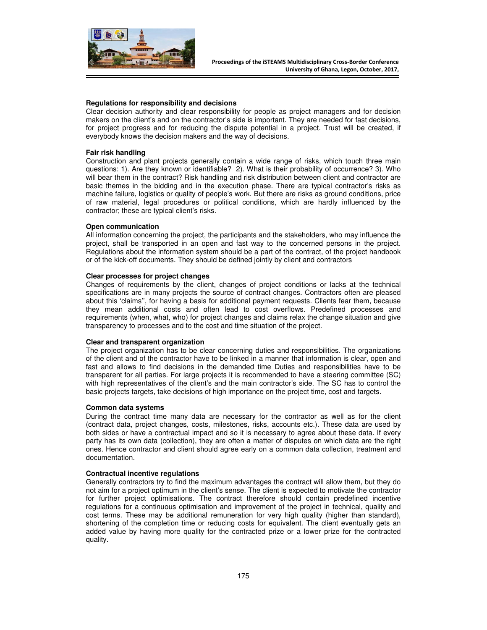

### **Regulations for responsibility and decisions**

Clear decision authority and clear responsibility for people as project managers and for decision makers on the client's and on the contractor's side is important. They are needed for fast decisions, for project progress and for reducing the dispute potential in a project. Trust will be created, if everybody knows the decision makers and the way of decisions.

#### **Fair risk handling**

Construction and plant projects generally contain a wide range of risks, which touch three main questions: 1). Are they known or identifiable? 2). What is their probability of occurrence? 3). Who will bear them in the contract? Risk handling and risk distribution between client and contractor are basic themes in the bidding and in the execution phase. There are typical contractor's risks as machine failure, logistics or quality of people's work. But there are risks as ground conditions, price of raw material, legal procedures or political conditions, which are hardly influenced by the contractor; these are typical client's risks.

### **Open communication**

All information concerning the project, the participants and the stakeholders, who may influence the project, shall be transported in an open and fast way to the concerned persons in the project. Regulations about the information system should be a part of the contract, of the project handbook or of the kick-off documents. They should be defined jointly by client and contractors

### **Clear processes for project changes**

Changes of requirements by the client, changes of project conditions or lacks at the technical specifications are in many projects the source of contract changes. Contractors often are pleased about this 'claims'', for having a basis for additional payment requests. Clients fear them, because they mean additional costs and often lead to cost overflows. Predefined processes and requirements (when, what, who) for project changes and claims relax the change situation and give transparency to processes and to the cost and time situation of the project.

#### **Clear and transparent organization**

The project organization has to be clear concerning duties and responsibilities. The organizations of the client and of the contractor have to be linked in a manner that information is clear, open and fast and allows to find decisions in the demanded time Duties and responsibilities have to be transparent for all parties. For large projects it is recommended to have a steering committee (SC) with high representatives of the client's and the main contractor's side. The SC has to control the basic projects targets, take decisions of high importance on the project time, cost and targets.

#### **Common data systems**

During the contract time many data are necessary for the contractor as well as for the client (contract data, project changes, costs, milestones, risks, accounts etc.). These data are used by both sides or have a contractual impact and so it is necessary to agree about these data. If every party has its own data (collection), they are often a matter of disputes on which data are the right ones. Hence contractor and client should agree early on a common data collection, treatment and documentation.

#### **Contractual incentive regulations**

Generally contractors try to find the maximum advantages the contract will allow them, but they do not aim for a project optimum in the client's sense. The client is expected to motivate the contractor for further project optimisations. The contract therefore should contain predefined incentive regulations for a continuous optimisation and improvement of the project in technical, quality and cost terms. These may be additional remuneration for very high quality (higher than standard), shortening of the completion time or reducing costs for equivalent. The client eventually gets an added value by having more quality for the contracted prize or a lower prize for the contracted quality.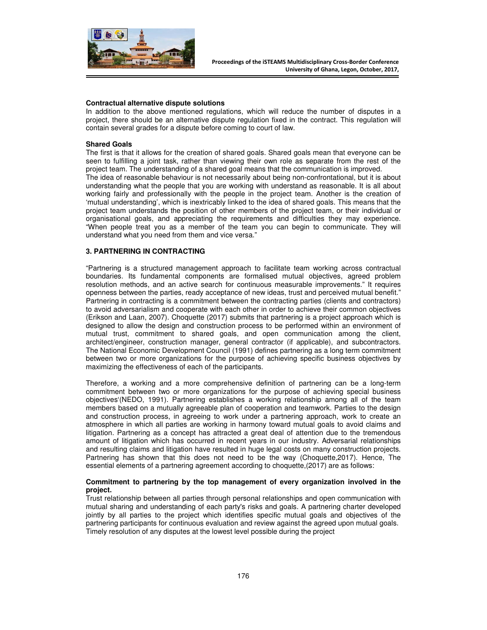

#### **Contractual alternative dispute solutions**

In addition to the above mentioned regulations, which will reduce the number of disputes in a project, there should be an alternative dispute regulation fixed in the contract. This regulation will contain several grades for a dispute before coming to court of law.

#### **Shared Goals**

The first is that it allows for the creation of shared goals. Shared goals mean that everyone can be seen to fulfilling a joint task, rather than viewing their own role as separate from the rest of the project team. The understanding of a shared goal means that the communication is improved. The idea of reasonable behaviour is not necessarily about being non-confrontational, but it is about understanding what the people that you are working with understand as reasonable. It is all about working fairly and professionally with the people in the project team. Another is the creation of 'mutual understanding', which is inextricably linked to the idea of shared goals. This means that the project team understands the position of other members of the project team, or their individual or organisational goals, and appreciating the requirements and difficulties they may experience. "When people treat you as a member of the team you can begin to communicate. They will understand what you need from them and vice versa."

### **3. PARTNERING IN CONTRACTING**

"Partnering is a structured management approach to facilitate team working across contractual boundaries. Its fundamental components are formalised mutual objectives, agreed problem resolution methods, and an active search for continuous measurable improvements." It requires openness between the parties, ready acceptance of new ideas, trust and perceived mutual benefit." Partnering in contracting is a commitment between the contracting parties (clients and contractors) to avoid adversarialism and cooperate with each other in order to achieve their common objectives (Erikson and Laan, 2007). Choquette (2017) submits that partnering is a project approach which is designed to allow the design and construction process to be performed within an environment of mutual trust, commitment to shared goals, and open communication among the client, architect/engineer, construction manager, general contractor (if applicable), and subcontractors. The National Economic Development Council (1991) defines partnering as a long term commitment between two or more organizations for the purpose of achieving specific business objectives by maximizing the effectiveness of each of the participants.

Therefore, a working and a more comprehensive definition of partnering can be a long-term commitment between two or more organizations for the purpose of achieving special business objectives'(NEDO, 1991). Partnering establishes a working relationship among all of the team members based on a mutually agreeable plan of cooperation and teamwork. Parties to the design and construction process, in agreeing to work under a partnering approach, work to create an atmosphere in which all parties are working in harmony toward mutual goals to avoid claims and litigation. Partnering as a concept has attracted a great deal of attention due to the tremendous amount of litigation which has occurred in recent years in our industry. Adversarial relationships and resulting claims and litigation have resulted in huge legal costs on many construction projects. Partnering has shown that this does not need to be the way (Choquette,2017). Hence, The essential elements of a partnering agreement according to choquette,(2017) are as follows:

### **Commitment to partnering by the top management of every organization involved in the project.**

Trust relationship between all parties through personal relationships and open communication with mutual sharing and understanding of each party's risks and goals. A partnering charter developed jointly by all parties to the project which identifies specific mutual goals and objectives of the partnering participants for continuous evaluation and review against the agreed upon mutual goals. Timely resolution of any disputes at the lowest level possible during the project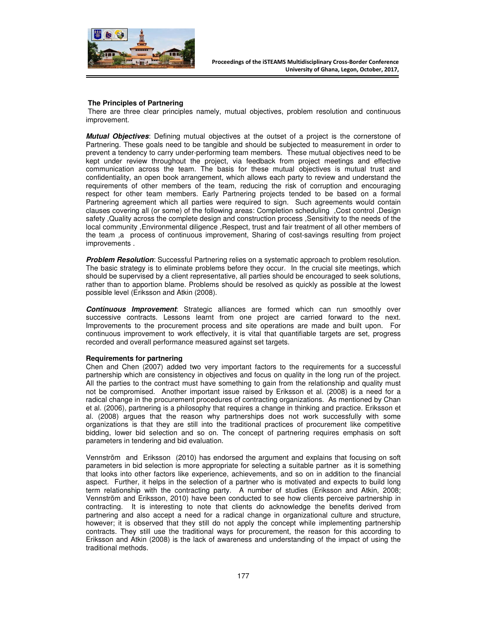

#### **The Principles of Partnering**

 There are three clear principles namely, mutual objectives, problem resolution and continuous improvement.

**Mutual Objectives**: Defining mutual objectives at the outset of a project is the cornerstone of Partnering. These goals need to be tangible and should be subjected to measurement in order to prevent a tendency to carry under-performing team members. These mutual objectives need to be kept under review throughout the project, via feedback from project meetings and effective communication across the team. The basis for these mutual objectives is mutual trust and confidentiality, an open book arrangement, which allows each party to review and understand the requirements of other members of the team, reducing the risk of corruption and encouraging respect for other team members. Early Partnering projects tended to be based on a formal Partnering agreement which all parties were required to sign. Such agreements would contain clauses covering all (or some) of the following areas: Completion scheduling ,Cost control ,Design safety ,Quality across the complete design and construction process ,Sensitivity to the needs of the local community , Environmental diligence , Respect, trust and fair treatment of all other members of the team ,a process of continuous improvement, Sharing of cost-savings resulting from project improvements .

**Problem Resolution**: Successful Partnering relies on a systematic approach to problem resolution. The basic strategy is to eliminate problems before they occur. In the crucial site meetings, which should be supervised by a client representative, all parties should be encouraged to seek solutions, rather than to apportion blame. Problems should be resolved as quickly as possible at the lowest possible level (Eriksson and Atkin (2008).

**Continuous Improvement**: Strategic alliances are formed which can run smoothly over successive contracts. Lessons learnt from one project are carried forward to the next. Improvements to the procurement process and site operations are made and built upon. For continuous improvement to work effectively, it is vital that quantifiable targets are set, progress recorded and overall performance measured against set targets.

#### **Requirements for partnering**

Chen and Chen (2007) added two very important factors to the requirements for a successful partnership which are consistency in objectives and focus on quality in the long run of the project. All the parties to the contract must have something to gain from the relationship and quality must not be compromised. Another important issue raised by Eriksson et al. (2008) is a need for a radical change in the procurement procedures of contracting organizations. As mentioned by Chan et al. (2006), partnering is a philosophy that requires a change in thinking and practice. Eriksson et al. (2008) argues that the reason why partnerships does not work successfully with some organizations is that they are still into the traditional practices of procurement like competitive bidding, lower bid selection and so on. The concept of partnering requires emphasis on soft parameters in tendering and bid evaluation.

Vennström and Eriksson (2010) has endorsed the argument and explains that focusing on soft parameters in bid selection is more appropriate for selecting a suitable partner as it is something that looks into other factors like experience, achievements, and so on in addition to the financial aspect. Further, it helps in the selection of a partner who is motivated and expects to build long term relationship with the contracting party. A number of studies (Eriksson and Atkin, 2008; Vennström and Eriksson, 2010) have been conducted to see how clients perceive partnership in contracting. It is interesting to note that clients do acknowledge the benefits derived from partnering and also accept a need for a radical change in organizational culture and structure, however; it is observed that they still do not apply the concept while implementing partnership contracts. They still use the traditional ways for procurement, the reason for this according to Eriksson and Atkin (2008) is the lack of awareness and understanding of the impact of using the traditional methods.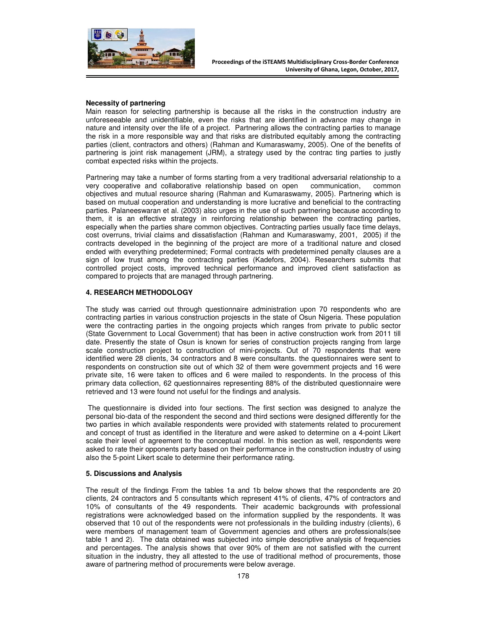

### **Necessity of partnering**

Main reason for selecting partnership is because all the risks in the construction industry are unforeseeable and unidentifiable, even the risks that are identified in advance may change in nature and intensity over the life of a project. Partnering allows the contracting parties to manage the risk in a more responsible way and that risks are distributed equitably among the contracting parties (client, contractors and others) (Rahman and Kumaraswamy, 2005). One of the benefits of partnering is joint risk management (JRM), a strategy used by the contrac ting parties to justly combat expected risks within the projects.

Partnering may take a number of forms starting from a very traditional adversarial relationship to a very cooperative and collaborative relationship based on open communication, common objectives and mutual resource sharing (Rahman and Kumaraswamy, 2005). Partnering which is based on mutual cooperation and understanding is more lucrative and beneficial to the contracting parties. Palaneeswaran et al. (2003) also urges in the use of such partnering because according to them, it is an effective strategy in reinforcing relationship between the contracting parties, especially when the parties share common objectives. Contracting parties usually face time delays, cost overruns, trivial claims and dissatisfaction (Rahman and Kumaraswamy, 2001, 2005) if the contracts developed in the beginning of the project are more of a traditional nature and closed ended with everything predetermined; Formal contracts with predetermined penalty clauses are a sign of low trust among the contracting parties (Kadefors, 2004). Researchers submits that controlled project costs, improved technical performance and improved client satisfaction as compared to projects that are managed through partnering.

### **4. RESEARCH METHODOLOGY**

The study was carried out through questionnaire administration upon 70 respondents who are contracting parties in various construction projescts in the state of Osun Nigeria. These population were the contracting parties in the ongoing projects which ranges from private to public sector (State Government to Local Government) that has been in active construction work from 2011 till date. Presently the state of Osun is known for series of construction projects ranging from large scale construction project to construction of mini-projects. Out of 70 respondents that were identified were 28 clients, 34 contractors and 8 were consultants. the questionnaires were sent to respondents on construction site out of which 32 of them were government projects and 16 were private site, 16 were taken to offices and 6 were mailed to respondents. In the process of this primary data collection, 62 questionnaires representing 88% of the distributed questionnaire were retrieved and 13 were found not useful for the findings and analysis.

 The questionnaire is divided into four sections. The first section was designed to analyze the personal bio-data of the respondent the second and third sections were designed differently for the two parties in which available respondents were provided with statements related to procurement and concept of trust as identified in the literature and were asked to determine on a 4-point Likert scale their level of agreement to the conceptual model. In this section as well, respondents were asked to rate their opponents party based on their performance in the construction industry of using also the 5-point Likert scale to determine their performance rating.

#### **5. Discussions and Analysis**

The result of the findings From the tables 1a and 1b below shows that the respondents are 20 clients, 24 contractors and 5 consultants which represent 41% of clients, 47% of contractors and 10% of consultants of the 49 respondents. Their academic backgrounds with professional registrations were acknowledged based on the information supplied by the respondents. It was observed that 10 out of the respondents were not professionals in the building industry (clients), 6 were members of management team of Government agencies and others are professionals(see table 1 and 2). The data obtained was subjected into simple descriptive analysis of frequencies and percentages. The analysis shows that over 90% of them are not satisfied with the current situation in the industry, they all attested to the use of traditional method of procurements, those aware of partnering method of procurements were below average.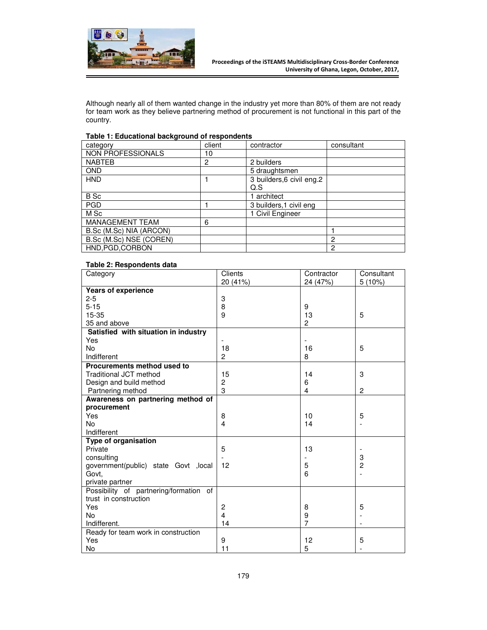

Although nearly all of them wanted change in the industry yet more than 80% of them are not ready for team work as they believe partnering method of procurement is not functional in this part of the country.

## **Table 1: Educational background of respondents**

| category                 | client         | contractor                 | consultant |
|--------------------------|----------------|----------------------------|------------|
| <b>NON PROFESSIONALS</b> | 10             |                            |            |
| <b>NABTEB</b>            | $\overline{2}$ | 2 builders                 |            |
| <b>OND</b>               |                | 5 draughtsmen              |            |
| <b>HND</b>               |                | 3 builders, 6 civil eng. 2 |            |
|                          |                | Q.S                        |            |
| B Sc                     |                | 1 architect                |            |
| <b>PGD</b>               |                | 3 builders, 1 civil eng    |            |
| M Sc                     |                | 1 Civil Engineer           |            |
| MANAGEMENT TEAM          | 6              |                            |            |
| B.Sc (M.Sc) NIA (ARCON)  |                |                            |            |
| B.Sc (M.Sc) NSE (COREN)  |                |                            | 2          |
| HND, PGD, CORBON         |                |                            | 2          |

### **Table 2: Respondents data**

| Category                               | Clients        | Contractor     | Consultant     |
|----------------------------------------|----------------|----------------|----------------|
| <b>Years of experience</b>             | 20 (41%)       | 24 (47%)       | 5(10%)         |
| $2 - 5$                                | 3              |                |                |
| $5 - 15$                               | 8              | 9              |                |
| 15-35                                  | 9              | 13             | 5              |
| 35 and above                           |                | $\overline{2}$ |                |
| Satisfied with situation in industry   |                |                |                |
| Yes                                    |                |                |                |
| <b>No</b>                              | 18             | 16             | 5              |
| Indifferent                            | $\overline{c}$ | 8              |                |
| Procurements method used to            |                |                |                |
| <b>Traditional JCT method</b>          | 15             | 14             | 3              |
| Design and build method                | 2              | 6              |                |
| Partnering method                      | 3              | 4              | 2              |
| Awareness on partnering method of      |                |                |                |
| procurement                            |                |                |                |
| Yes                                    | 8              | 10             | 5              |
| <b>No</b>                              | 4              | 14             |                |
| Indifferent                            |                |                |                |
| Type of organisation                   |                |                |                |
| Private                                | 5              | 13             |                |
| consulting                             |                |                | 3              |
| government(public) state Govt , local  | 12             | 5              | $\overline{2}$ |
| Govt,                                  |                | 6              |                |
| private partner                        |                |                |                |
| Possibility of partnering/formation of |                |                |                |
| trust in construction                  |                |                |                |
| Yes                                    | $\overline{c}$ | 8              | 5              |
| <b>No</b>                              | $\overline{4}$ | 9              |                |
| Indifferent.                           | 14             | $\overline{7}$ |                |
| Ready for team work in construction    |                |                |                |
| Yes                                    | 9              | 12             | 5              |
| No                                     | 11             | 5              |                |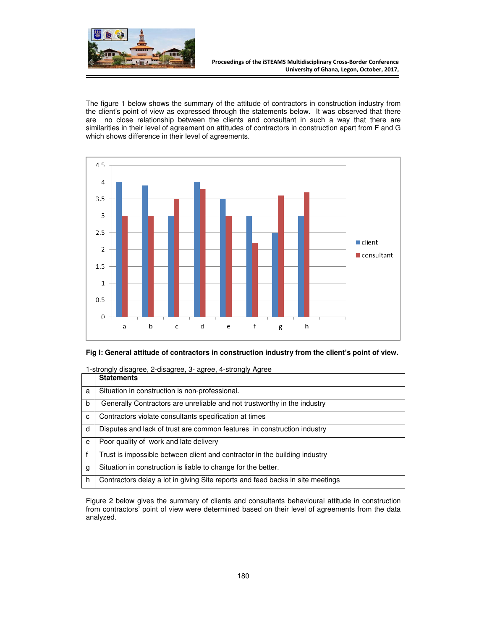

The figure 1 below shows the summary of the attitude of contractors in construction industry from the client's point of view as expressed through the statements below. It was observed that there are no close relationship between the clients and consultant in such a way that there are similarities in their level of agreement on attitudes of contractors in construction apart from F and G which shows difference in their level of agreements.



# **Fig I: General attitude of contractors in construction industry from the client's point of view.**

1-strongly disagree, 2-disagree, 3- agree, 4-strongly Agree

|   | <b>Statements</b>                                                              |
|---|--------------------------------------------------------------------------------|
| a | Situation in construction is non-professional.                                 |
| b | Generally Contractors are unreliable and not trustworthy in the industry       |
| C | Contractors violate consultants specification at times                         |
| d | Disputes and lack of trust are common features in construction industry        |
| e | Poor quality of work and late delivery                                         |
|   | Trust is impossible between client and contractor in the building industry     |
| g | Situation in construction is liable to change for the better.                  |
| h | Contractors delay a lot in giving Site reports and feed backs in site meetings |
|   |                                                                                |

Figure 2 below gives the summary of clients and consultants behavioural attitude in construction from contractors' point of view were determined based on their level of agreements from the data analyzed.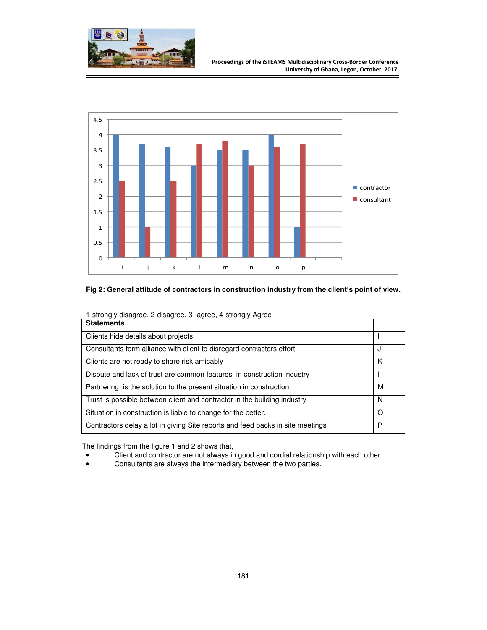

#### **Proceedings of the iSTEAMS Multidisciplinary Cross-Border Conference University of Ghana, Legon, October, 2017,**



# **Fig 2: General attitude of contractors in construction industry from the client's point of view.**

| i-strongly disagree, 2-disagree, 3- agree, 4-strongly Agree<br><b>Statements</b> |   |
|----------------------------------------------------------------------------------|---|
| Clients hide details about projects.                                             |   |
| Consultants form alliance with client to disregard contractors effort            | J |
| Clients are not ready to share risk amicably                                     | K |
| Dispute and lack of trust are common features in construction industry           |   |
| Partnering is the solution to the present situation in construction              | м |
| Trust is possible between client and contractor in the building industry         | N |
| Situation in construction is liable to change for the better.                    | Ω |
| Contractors delay a lot in giving Site reports and feed backs in site meetings   | P |

1-strongly disagree, 2-disagree, 3- agree, 4-strongly Agree

The findings from the figure 1 and 2 shows that,

- Client and contractor are not always in good and cordial relationship with each other.
- Consultants are always the intermediary between the two parties.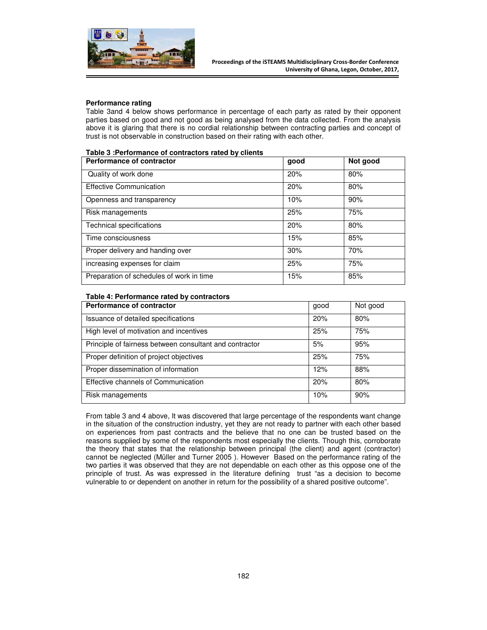

#### **Performance rating**

Table 3and 4 below shows performance in percentage of each party as rated by their opponent parties based on good and not good as being analysed from the data collected. From the analysis above it is glaring that there is no cordial relationship between contracting parties and concept of trust is not observable in construction based on their rating with each other.

| Table 3 : Performance of contractors rated by clients |  |  |  |
|-------------------------------------------------------|--|--|--|
|-------------------------------------------------------|--|--|--|

| <b>Performance of contractor</b>         | good | Not good |
|------------------------------------------|------|----------|
| Quality of work done                     | 20%  | 80%      |
| <b>Effective Communication</b>           | 20%  | 80%      |
| Openness and transparency                | 10%  | 90%      |
| Risk managements                         | 25%  | 75%      |
| <b>Technical specifications</b>          | 20%  | 80%      |
| Time consciousness                       | 15%  | 85%      |
| Proper delivery and handing over         | 30%  | 70%      |
| increasing expenses for claim            | 25%  | 75%      |
| Preparation of schedules of work in time | 15%  | 85%      |

#### **Table 4: Performance rated by contractors**

| <b>Performance of contractor</b>                        | good | Not good |
|---------------------------------------------------------|------|----------|
| Issuance of detailed specifications                     | 20%  | 80%      |
| High level of motivation and incentives                 | 25%  | 75%      |
| Principle of fairness between consultant and contractor | 5%   | 95%      |
| Proper definition of project objectives                 | 25%  | 75%      |
| Proper dissemination of information                     | 12%  | 88%      |
| Effective channels of Communication                     | 20%  | 80%      |
| Risk managements                                        | 10%  | 90%      |

From table 3 and 4 above, It was discovered that large percentage of the respondents want change in the situation of the construction industry, yet they are not ready to partner with each other based on experiences from past contracts and the believe that no one can be trusted based on the reasons supplied by some of the respondents most especially the clients. Though this, corroborate the theory that states that the relationship between principal (the client) and agent (contractor) cannot be neglected (Müller and Turner 2005 ). However Based on the performance rating of the two parties it was observed that they are not dependable on each other as this oppose one of the principle of trust. As was expressed in the literature defining trust "as a decision to become vulnerable to or dependent on another in return for the possibility of a shared positive outcome".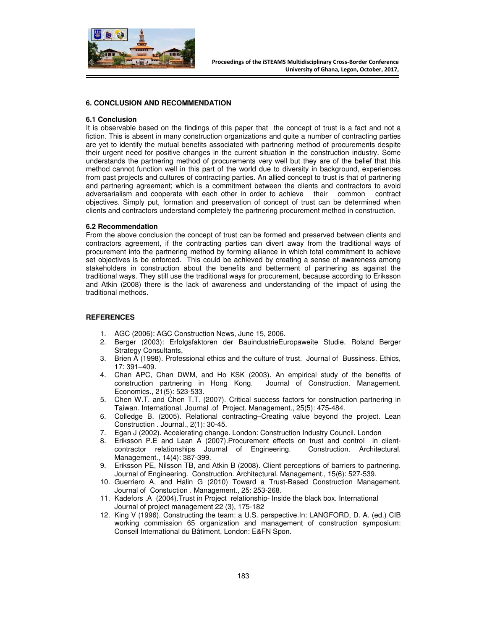

### **6. CONCLUSION AND RECOMMENDATION**

#### **6.1 Conclusion**

It is observable based on the findings of this paper that the concept of trust is a fact and not a fiction. This is absent in many construction organizations and quite a number of contracting parties are yet to identify the mutual benefits associated with partnering method of procurements despite their urgent need for positive changes in the current situation in the construction industry. Some understands the partnering method of procurements very well but they are of the belief that this method cannot function well in this part of the world due to diversity in background, experiences from past projects and cultures of contracting parties. An allied concept to trust is that of partnering and partnering agreement; which is a commitment between the clients and contractors to avoid adversarialism and cooperate with each other in order to achieve their common contract objectives. Simply put, formation and preservation of concept of trust can be determined when clients and contractors understand completely the partnering procurement method in construction.

#### **6.2 Recommendation**

From the above conclusion the concept of trust can be formed and preserved between clients and contractors agreement, if the contracting parties can divert away from the traditional ways of procurement into the partnering method by forming alliance in which total commitment to achieve set objectives is be enforced. This could be achieved by creating a sense of awareness among stakeholders in construction about the benefits and betterment of partnering as against the traditional ways. They still use the traditional ways for procurement, because according to Eriksson and Atkin (2008) there is the lack of awareness and understanding of the impact of using the traditional methods.

#### **REFERENCES**

- 1. AGC (2006): AGC Construction News, June 15, 2006.
- 2. Berger (2003): Erfolgsfaktoren der BauindustrieEuropaweite Studie. Roland Berger Strategy Consultants,
- 3. Brien A (1998). Professional ethics and the culture of trust. Journal of Bussiness. Ethics, 17: 391–409.
- 4. Chan APC, Chan DWM, and Ho KSK (2003). An empirical study of the benefits of construction partnering in Hong Kong. Journal of Construction. Management. Economics., 21(5): 523-533.
- 5. Chen W.T. and Chen T.T. (2007). Critical success factors for construction partnering in Taiwan. International. Journal .of Project. Management., 25(5): 475-484.
- 6. Colledge B. (2005). Relational contracting–Creating value beyond the project. Lean Construction . Journal., 2(1): 30-45.
- 7. Egan J (2002). Accelerating change. London: Construction Industry Council. London
- 8. Eriksson P.E and Laan A (2007).Procurement effects on trust and control in clientcontractor relationships Journal of Engineering. Construction. Architectural. Management., 14(4): 387-399.
- 9. Eriksson PE, Nilsson TB, and Atkin B (2008). Client perceptions of barriers to partnering. Journal of Engineering. Construction. Architectural. Management., 15(6): 527-539.
- 10. Guerriero A, and Halin G (2010) Toward a Trust-Based Construction Management. Journal of Constuction . Management., 25: 253-268.
- 11. Kadefors .A (2004).Trust in Project relationship- Inside the black box. International Journal of project management 22 (3), 175-182
- 12. King V (1996). Constructing the team: a U.S. perspective.In: LANGFORD, D. A. (ed.) CIB working commission 65 organization and management of construction symposium: Conseil International du Bâtiment. London: E&FN Spon.